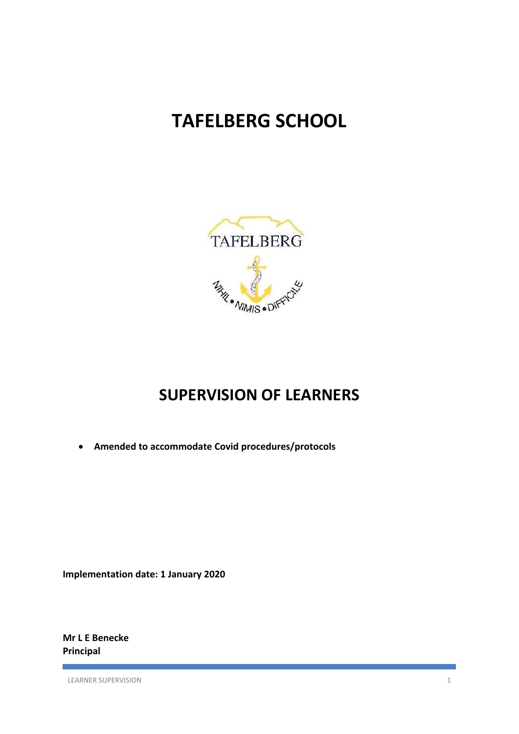# **TAFELBERG SCHOOL**



## **SUPERVISION OF LEARNERS**

**Amended to accommodate Covid procedures/protocols** 

**Implementation date: 1 January 2020** 

**Mr L E Benecke Principal** 

LEARNER SUPERVISION 1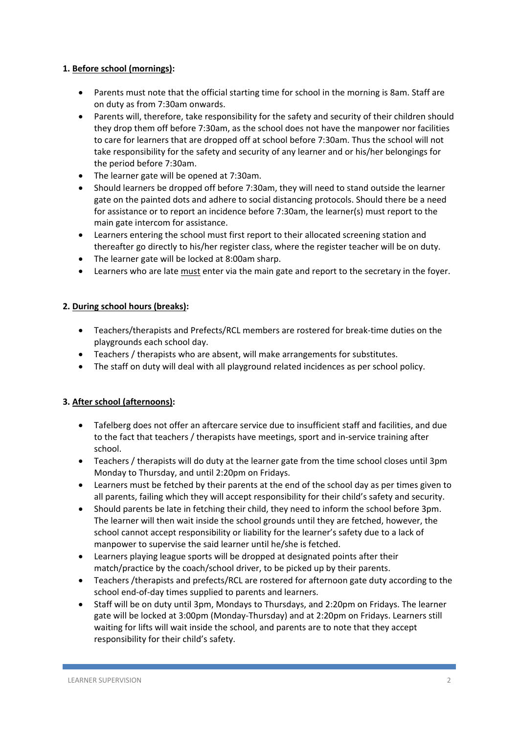#### **1. Before school (mornings):**

- Parents must note that the official starting time for school in the morning is 8am. Staff are on duty as from 7:30am onwards.
- Parents will, therefore, take responsibility for the safety and security of their children should they drop them off before 7:30am, as the school does not have the manpower nor facilities to care for learners that are dropped off at school before 7:30am. Thus the school will not take responsibility for the safety and security of any learner and or his/her belongings for the period before 7:30am.
- The learner gate will be opened at 7:30am.
- Should learners be dropped off before 7:30am, they will need to stand outside the learner gate on the painted dots and adhere to social distancing protocols. Should there be a need for assistance or to report an incidence before 7:30am, the learner(s) must report to the main gate intercom for assistance.
- Learners entering the school must first report to their allocated screening station and thereafter go directly to his/her register class, where the register teacher will be on duty.
- The learner gate will be locked at 8:00am sharp.
- Learners who are late must enter via the main gate and report to the secretary in the foyer.

#### **2. During school hours (breaks):**

- Teachers/therapists and Prefects/RCL members are rostered for break-time duties on the playgrounds each school day.
- Teachers / therapists who are absent, will make arrangements for substitutes.
- The staff on duty will deal with all playground related incidences as per school policy.

### **3. After school (afternoons):**

- Tafelberg does not offer an aftercare service due to insufficient staff and facilities, and due to the fact that teachers / therapists have meetings, sport and in‐service training after school.
- Teachers / therapists will do duty at the learner gate from the time school closes until 3pm Monday to Thursday, and until 2:20pm on Fridays.
- Learners must be fetched by their parents at the end of the school day as per times given to all parents, failing which they will accept responsibility for their child's safety and security.
- Should parents be late in fetching their child, they need to inform the school before 3pm. The learner will then wait inside the school grounds until they are fetched, however, the school cannot accept responsibility or liability for the learner's safety due to a lack of manpower to supervise the said learner until he/she is fetched.
- Learners playing league sports will be dropped at designated points after their match/practice by the coach/school driver, to be picked up by their parents.
- Teachers /therapists and prefects/RCL are rostered for afternoon gate duty according to the school end-of-day times supplied to parents and learners.
- Staff will be on duty until 3pm, Mondays to Thursdays, and 2:20pm on Fridays. The learner gate will be locked at 3:00pm (Monday‐Thursday) and at 2:20pm on Fridays. Learners still waiting for lifts will wait inside the school, and parents are to note that they accept responsibility for their child's safety.